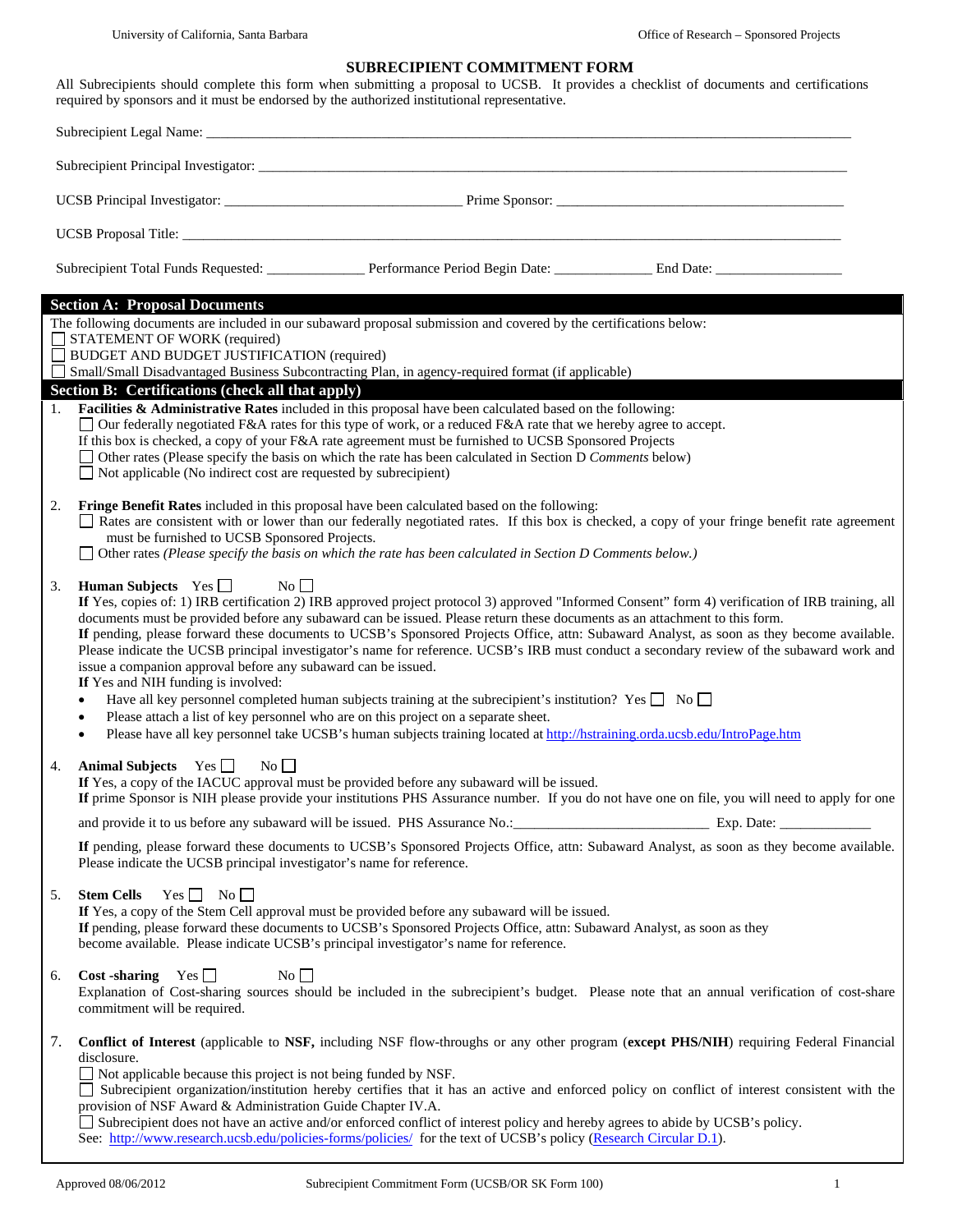## **SUBRECIPIENT COMMITMENT FORM**

All Subrecipients should complete this form when submitting a proposal to UCSB. It provides a checklist of documents and certifications required by sponsors and it must be endorsed by the authorized institutional representative.

| <b>Section A: Proposal Documents</b>                                                                                                                                                                                                                                                                                                                                                                                                                                                                                                                                                                                                                                                                                                      |  |  |  |  |
|-------------------------------------------------------------------------------------------------------------------------------------------------------------------------------------------------------------------------------------------------------------------------------------------------------------------------------------------------------------------------------------------------------------------------------------------------------------------------------------------------------------------------------------------------------------------------------------------------------------------------------------------------------------------------------------------------------------------------------------------|--|--|--|--|
| The following documents are included in our subaward proposal submission and covered by the certifications below:<br>$\Box$ STATEMENT OF WORK (required)<br>$\Box$ BUDGET AND BUDGET JUSTIFICATION (required)<br>Small/Small Disadvantaged Business Subcontracting Plan, in agency-required format (if applicable)                                                                                                                                                                                                                                                                                                                                                                                                                        |  |  |  |  |
| Section B: Certifications (check all that apply)<br>1. Facilities & Administrative Rates included in this proposal have been calculated based on the following:                                                                                                                                                                                                                                                                                                                                                                                                                                                                                                                                                                           |  |  |  |  |
| $\Box$ Our federally negotiated F&A rates for this type of work, or a reduced F&A rate that we hereby agree to accept.                                                                                                                                                                                                                                                                                                                                                                                                                                                                                                                                                                                                                    |  |  |  |  |
| If this box is checked, a copy of your F&A rate agreement must be furnished to UCSB Sponsored Projects<br>$\Box$ Other rates (Please specify the basis on which the rate has been calculated in Section D Comments below)<br>$\Box$ Not applicable (No indirect cost are requested by subrecipient)                                                                                                                                                                                                                                                                                                                                                                                                                                       |  |  |  |  |
| 2.<br>Fringe Benefit Rates included in this proposal have been calculated based on the following:<br>Rates are consistent with or lower than our federally negotiated rates. If this box is checked, a copy of your fringe benefit rate agreement<br>must be furnished to UCSB Sponsored Projects.<br>$\Box$ Other rates (Please specify the basis on which the rate has been calculated in Section D Comments below.)                                                                                                                                                                                                                                                                                                                    |  |  |  |  |
| 3.                                                                                                                                                                                                                                                                                                                                                                                                                                                                                                                                                                                                                                                                                                                                        |  |  |  |  |
| <b>Human Subjects</b> Yes $\Box$<br>$\overline{N_0}$<br>If Yes, copies of: 1) IRB certification 2) IRB approved project protocol 3) approved "Informed Consent" form 4) verification of IRB training, all<br>documents must be provided before any subaward can be issued. Please return these documents as an attachment to this form.<br>If pending, please forward these documents to UCSB's Sponsored Projects Office, attn: Subaward Analyst, as soon as they become available.<br>Please indicate the UCSB principal investigator's name for reference. UCSB's IRB must conduct a secondary review of the subaward work and<br>issue a companion approval before any subaward can be issued.<br>If Yes and NIH funding is involved: |  |  |  |  |
| Have all key personnel completed human subjects training at the subrecipient's institution? Yes $\Box$ No $\Box$                                                                                                                                                                                                                                                                                                                                                                                                                                                                                                                                                                                                                          |  |  |  |  |
| Please attach a list of key personnel who are on this project on a separate sheet.<br>$\bullet$<br>Please have all key personnel take UCSB's human subjects training located at http://hstraining.orda.ucsb.edu/IntroPage.htm<br>$\bullet$                                                                                                                                                                                                                                                                                                                                                                                                                                                                                                |  |  |  |  |
| Animal Subjects Yes $\Box$<br>$\overline{N_0}$<br>4.<br>If Yes, a copy of the IACUC approval must be provided before any subaward will be issued.<br>If prime Sponsor is NIH please provide your institutions PHS Assurance number. If you do not have one on file, you will need to apply for one                                                                                                                                                                                                                                                                                                                                                                                                                                        |  |  |  |  |
| and provide it to us before any subaward will be issued. PHS Assurance No.: Exp. Date: Exp. Date:                                                                                                                                                                                                                                                                                                                                                                                                                                                                                                                                                                                                                                         |  |  |  |  |
| If pending, please forward these documents to UCSB's Sponsored Projects Office, attn: Subaward Analyst, as soon as they become available.<br>Please indicate the UCSB principal investigator's name for reference.                                                                                                                                                                                                                                                                                                                                                                                                                                                                                                                        |  |  |  |  |
| <b>Stem Cells</b> Yes $\Box$ No $\Box$<br>5.<br>If Yes, a copy of the Stem Cell approval must be provided before any subaward will be issued.<br>If pending, please forward these documents to UCSB's Sponsored Projects Office, attn: Subaward Analyst, as soon as they<br>become available. Please indicate UCSB's principal investigator's name for reference.                                                                                                                                                                                                                                                                                                                                                                         |  |  |  |  |
| Cost -sharing $Yes \Box$<br>$\overline{N_0}$<br>6.<br>Explanation of Cost-sharing sources should be included in the subrecipient's budget. Please note that an annual verification of cost-share<br>commitment will be required.                                                                                                                                                                                                                                                                                                                                                                                                                                                                                                          |  |  |  |  |
| Conflict of Interest (applicable to NSF, including NSF flow-throughs or any other program (except PHS/NIH) requiring Federal Financial<br>7.<br>disclosure.                                                                                                                                                                                                                                                                                                                                                                                                                                                                                                                                                                               |  |  |  |  |
| $\Box$ Not applicable because this project is not being funded by NSF.<br>Subrecipient organization/institution hereby certifies that it has an active and enforced policy on conflict of interest consistent with the<br>provision of NSF Award & Administration Guide Chapter IV.A.                                                                                                                                                                                                                                                                                                                                                                                                                                                     |  |  |  |  |
| Subrecipient does not have an active and/or enforced conflict of interest policy and hereby agrees to abide by UCSB's policy.<br>See: http://www.research.ucsb.edu/policies-forms/policies/ for the text of UCSB's policy (Research Circular D.1).                                                                                                                                                                                                                                                                                                                                                                                                                                                                                        |  |  |  |  |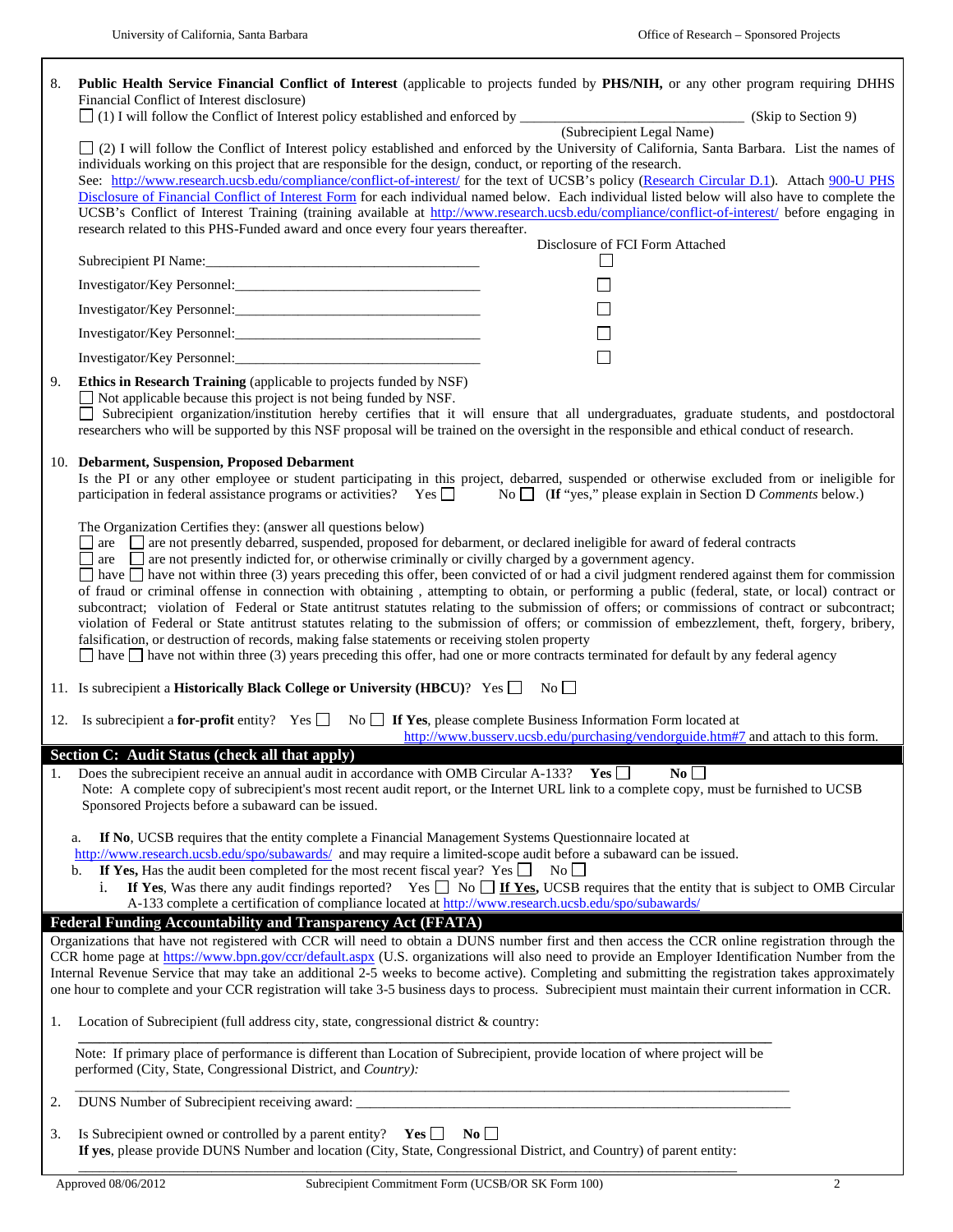$\overline{\phantom{a}}$ 

| 8.                                                                                                                                                                                                                                                                                                                                                                                                                        | Public Health Service Financial Conflict of Interest (applicable to projects funded by PHS/NIH, or any other program requiring DHHS<br>Financial Conflict of Interest disclosure)                                                                                                                                                                                |                                                                                   |  |  |
|---------------------------------------------------------------------------------------------------------------------------------------------------------------------------------------------------------------------------------------------------------------------------------------------------------------------------------------------------------------------------------------------------------------------------|------------------------------------------------------------------------------------------------------------------------------------------------------------------------------------------------------------------------------------------------------------------------------------------------------------------------------------------------------------------|-----------------------------------------------------------------------------------|--|--|
|                                                                                                                                                                                                                                                                                                                                                                                                                           |                                                                                                                                                                                                                                                                                                                                                                  |                                                                                   |  |  |
|                                                                                                                                                                                                                                                                                                                                                                                                                           |                                                                                                                                                                                                                                                                                                                                                                  |                                                                                   |  |  |
|                                                                                                                                                                                                                                                                                                                                                                                                                           | [2] [2] I will follow the Conflict of Interest policy established and enforced by the University of California, Santa Barbara. List the names of<br>individuals working on this project that are responsible for the design, conduct, or reporting of the research.                                                                                              |                                                                                   |  |  |
|                                                                                                                                                                                                                                                                                                                                                                                                                           | See: http://www.research.ucsb.edu/compliance/conflict-of-interest/ for the text of UCSB's policy (Research Circular D.1). Attach 900-U PHS                                                                                                                                                                                                                       |                                                                                   |  |  |
|                                                                                                                                                                                                                                                                                                                                                                                                                           | Disclosure of Financial Conflict of Interest Form for each individual named below. Each individual listed below will also have to complete the<br>UCSB's Conflict of Interest Training (training available at http://www.research.ucsb.edu/compliance/conflict-of-interest/ before engaging in                                                                   |                                                                                   |  |  |
|                                                                                                                                                                                                                                                                                                                                                                                                                           | research related to this PHS-Funded award and once every four years thereafter.<br>Disclosure of FCI Form Attached                                                                                                                                                                                                                                               |                                                                                   |  |  |
|                                                                                                                                                                                                                                                                                                                                                                                                                           |                                                                                                                                                                                                                                                                                                                                                                  | ⊔                                                                                 |  |  |
|                                                                                                                                                                                                                                                                                                                                                                                                                           |                                                                                                                                                                                                                                                                                                                                                                  | $\Box$                                                                            |  |  |
|                                                                                                                                                                                                                                                                                                                                                                                                                           |                                                                                                                                                                                                                                                                                                                                                                  | $\Box$                                                                            |  |  |
|                                                                                                                                                                                                                                                                                                                                                                                                                           | Investigator/Key Personnel:                                                                                                                                                                                                                                                                                                                                      | $\Box$                                                                            |  |  |
|                                                                                                                                                                                                                                                                                                                                                                                                                           |                                                                                                                                                                                                                                                                                                                                                                  | $\Box$                                                                            |  |  |
| 9.                                                                                                                                                                                                                                                                                                                                                                                                                        | Ethics in Research Training (applicable to projects funded by NSF)                                                                                                                                                                                                                                                                                               |                                                                                   |  |  |
|                                                                                                                                                                                                                                                                                                                                                                                                                           | $\Box$ Not applicable because this project is not being funded by NSF.<br>Subrecipient organization/institution hereby certifies that it will ensure that all undergraduates, graduate students, and postdoctoral<br>researchers who will be supported by this NSF proposal will be trained on the oversight in the responsible and ethical conduct of research. |                                                                                   |  |  |
|                                                                                                                                                                                                                                                                                                                                                                                                                           | 10. Debarment, Suspension, Proposed Debarment                                                                                                                                                                                                                                                                                                                    |                                                                                   |  |  |
|                                                                                                                                                                                                                                                                                                                                                                                                                           | Is the PI or any other employee or student participating in this project, debarred, suspended or otherwise excluded from or ineligible for<br>participation in federal assistance programs or activities? Yes $\Box$<br>No $\Box$ (If "yes," please explain in Section D Comments below.)                                                                        |                                                                                   |  |  |
|                                                                                                                                                                                                                                                                                                                                                                                                                           | The Organization Certifies they: (answer all questions below)                                                                                                                                                                                                                                                                                                    |                                                                                   |  |  |
| $\Box$ are $\Box$ are not presently debarred, suspended, proposed for debarment, or declared ineligible for award of federal contracts<br>$\Box$ are $\Box$ are not presently indicted for, or otherwise criminally or civilly charged by a government agency.<br>$\Box$ have $\Box$ have not within three (3) years preceding this offer, been convicted of or had a civil judgment rendered against them for commission |                                                                                                                                                                                                                                                                                                                                                                  |                                                                                   |  |  |
|                                                                                                                                                                                                                                                                                                                                                                                                                           |                                                                                                                                                                                                                                                                                                                                                                  |                                                                                   |  |  |
|                                                                                                                                                                                                                                                                                                                                                                                                                           | of fraud or criminal offense in connection with obtaining, attempting to obtain, or performing a public (federal, state, or local) contract or<br>subcontract; violation of Federal or State antitrust statutes relating to the submission of offers; or commissions of contract or subcontract;                                                                 |                                                                                   |  |  |
|                                                                                                                                                                                                                                                                                                                                                                                                                           | violation of Federal or State antitrust statutes relating to the submission of offers; or commission of embezzlement, theft, forgery, bribery,                                                                                                                                                                                                                   |                                                                                   |  |  |
|                                                                                                                                                                                                                                                                                                                                                                                                                           | falsification, or destruction of records, making false statements or receiving stolen property<br>$\Box$ have $\Box$ have not within three (3) years preceding this offer, had one or more contracts terminated for default by any federal agency                                                                                                                |                                                                                   |  |  |
|                                                                                                                                                                                                                                                                                                                                                                                                                           |                                                                                                                                                                                                                                                                                                                                                                  |                                                                                   |  |  |
|                                                                                                                                                                                                                                                                                                                                                                                                                           | 11. Is subrecipient a Historically Black College or University (HBCU)? Yes □ No □                                                                                                                                                                                                                                                                                |                                                                                   |  |  |
|                                                                                                                                                                                                                                                                                                                                                                                                                           | 12. Is subrecipient a for-profit entity? Yes $\Box$ No $\Box$ If Yes, please complete Business Information Form located at                                                                                                                                                                                                                                       | http://www.busserv.ucsb.edu/purchasing/vendorguide.htm#7 and attach to this form. |  |  |
|                                                                                                                                                                                                                                                                                                                                                                                                                           | Section C: Audit Status (check all that apply)                                                                                                                                                                                                                                                                                                                   |                                                                                   |  |  |
|                                                                                                                                                                                                                                                                                                                                                                                                                           | 1. Does the subrecipient receive an annual audit in accordance with OMB Circular A-133? Yes $\Box$<br>$N_0 \Box$<br>Note: A complete copy of subrecipient's most recent audit report, or the Internet URL link to a complete copy, must be furnished to UCSB                                                                                                     |                                                                                   |  |  |
|                                                                                                                                                                                                                                                                                                                                                                                                                           | Sponsored Projects before a subaward can be issued.                                                                                                                                                                                                                                                                                                              |                                                                                   |  |  |
|                                                                                                                                                                                                                                                                                                                                                                                                                           | If No, UCSB requires that the entity complete a Financial Management Systems Questionnaire located at                                                                                                                                                                                                                                                            |                                                                                   |  |  |
|                                                                                                                                                                                                                                                                                                                                                                                                                           | a.<br>http://www.research.ucsb.edu/spo/subawards/ and may require a limited-scope audit before a subaward can be issued.                                                                                                                                                                                                                                         |                                                                                   |  |  |
|                                                                                                                                                                                                                                                                                                                                                                                                                           | If Yes, Has the audit been completed for the most recent fiscal year? Yes $\Box$ No $\Box$<br>b.                                                                                                                                                                                                                                                                 |                                                                                   |  |  |
|                                                                                                                                                                                                                                                                                                                                                                                                                           | If Yes, Was there any audit findings reported? Yes $\Box$ No $\Box$ If Yes, UCSB requires that the entity that is subject to OMB Circular<br>i.<br>A-133 complete a certification of compliance located at http://www.research.ucsb.edu/spo/subawards/                                                                                                           |                                                                                   |  |  |
|                                                                                                                                                                                                                                                                                                                                                                                                                           | <b>Federal Funding Accountability and Transparency Act (FFATA)</b>                                                                                                                                                                                                                                                                                               |                                                                                   |  |  |
|                                                                                                                                                                                                                                                                                                                                                                                                                           | Organizations that have not registered with CCR will need to obtain a DUNS number first and then access the CCR online registration through the<br>CCR home page at https://www.bpn.gov/ccr/default.aspx (U.S. organizations will also need to provide an Employer Identification Number from the                                                                |                                                                                   |  |  |
|                                                                                                                                                                                                                                                                                                                                                                                                                           | Internal Revenue Service that may take an additional 2-5 weeks to become active). Completing and submitting the registration takes approximately                                                                                                                                                                                                                 |                                                                                   |  |  |
|                                                                                                                                                                                                                                                                                                                                                                                                                           | one hour to complete and your CCR registration will take 3-5 business days to process. Subrecipient must maintain their current information in CCR.                                                                                                                                                                                                              |                                                                                   |  |  |
| 1.                                                                                                                                                                                                                                                                                                                                                                                                                        | Location of Subrecipient (full address city, state, congressional district & country:                                                                                                                                                                                                                                                                            |                                                                                   |  |  |
|                                                                                                                                                                                                                                                                                                                                                                                                                           | Note: If primary place of performance is different than Location of Subrecipient, provide location of where project will be<br>performed (City, State, Congressional District, and Country):                                                                                                                                                                     |                                                                                   |  |  |
| 2.                                                                                                                                                                                                                                                                                                                                                                                                                        |                                                                                                                                                                                                                                                                                                                                                                  |                                                                                   |  |  |
| 3.                                                                                                                                                                                                                                                                                                                                                                                                                        | Is Subrecipient owned or controlled by a parent entity? $Yes$<br>$\mathbf{N}\mathbf{o}$                                                                                                                                                                                                                                                                          |                                                                                   |  |  |
|                                                                                                                                                                                                                                                                                                                                                                                                                           | If yes, please provide DUNS Number and location (City, State, Congressional District, and Country) of parent entity:                                                                                                                                                                                                                                             |                                                                                   |  |  |